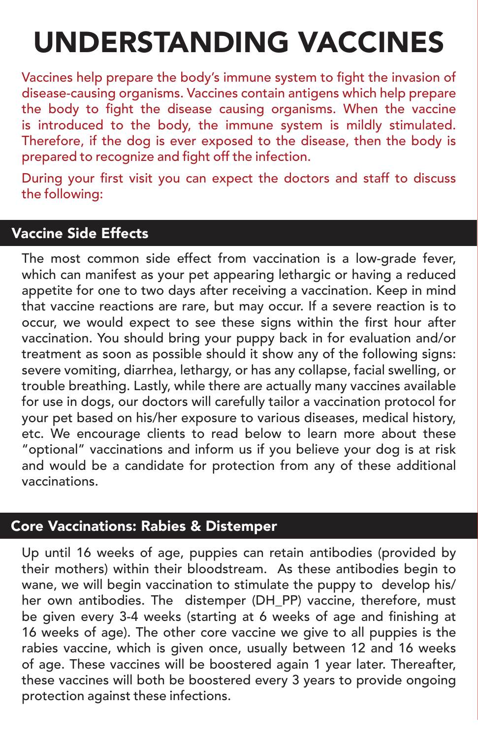# UNDERSTANDING VACCINES

Vaccines help prepare the body's immune system to fight the invasion of disease-causing organisms. Vaccines contain antigens which help prepare the body to fight the disease causing organisms. When the vaccine is introduced to the body, the immune system is mildly stimulated. Therefore, if the dog is ever exposed to the disease, then the body is prepared to recognize and fight off the infection.

During your first visit you can expect the doctors and staff to discuss the following:

# Vaccine Side Effects

The most common side effect from vaccination is a low-grade fever, which can manifest as your pet appearing lethargic or having a reduced appetite for one to two days after receiving a vaccination. Keep in mind that vaccine reactions are rare, but may occur. If a severe reaction is to occur, we would expect to see these signs within the first hour after vaccination. You should bring your puppy back in for evaluation and/or treatment as soon as possible should it show any of the following signs: severe vomiting, diarrhea, lethargy, or has any collapse, facial swelling, or trouble breathing. Lastly, while there are actually many vaccines available for use in dogs, our doctors will carefully tailor a vaccination protocol for your pet based on his/her exposure to various diseases, medical history, etc. We encourage clients to read below to learn more about these "optional" vaccinations and inform us if you believe your dog is at risk and would be a candidate for protection from any of these additional vaccinations.

# Core Vaccinations: Rabies & Distemper

Up until 16 weeks of age, puppies can retain antibodies (provided by their mothers) within their bloodstream. As these antibodies begin to wane, we will begin vaccination to stimulate the puppy to develop his/ her own antibodies. The distemper (DH\_PP) vaccine, therefore, must be given every 3-4 weeks (starting at 6 weeks of age and finishing at 16 weeks of age). The other core vaccine we give to all puppies is the rabies vaccine, which is given once, usually between 12 and 16 weeks of age. These vaccines will be boostered again 1 year later. Thereafter, these vaccines will both be boostered every 3 years to provide ongoing protection against these infections.